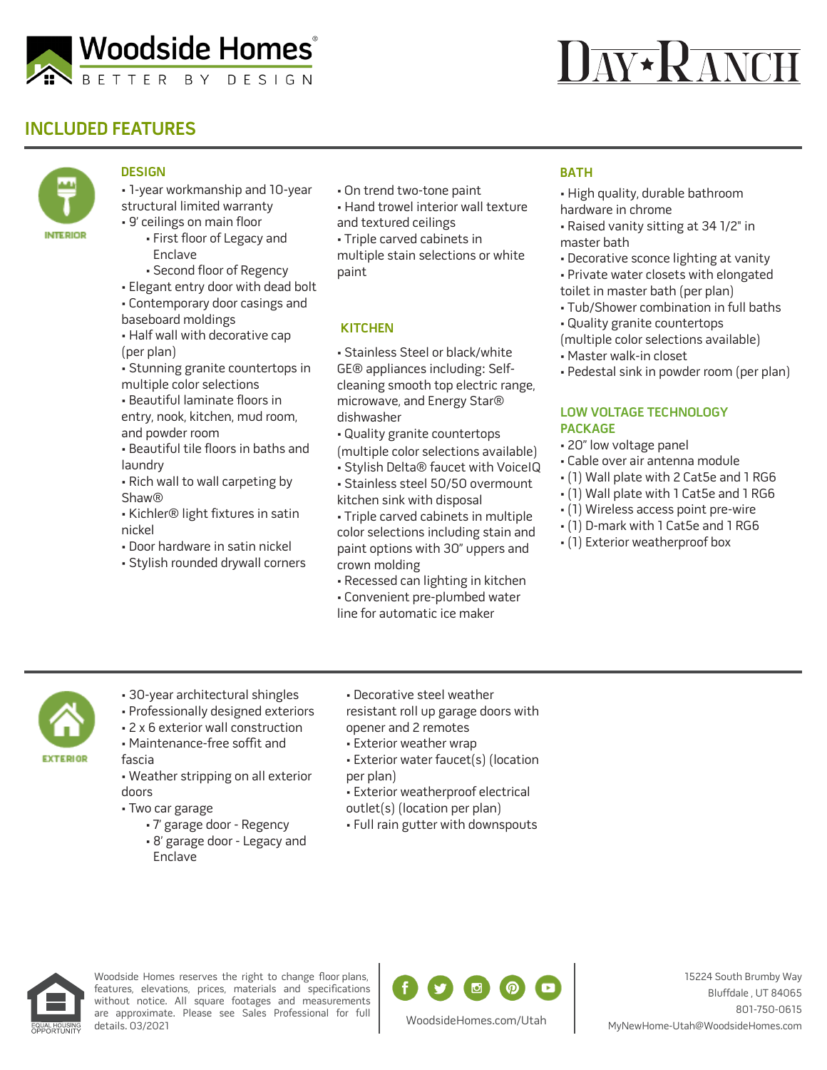

# **AV\*RANCH**

## **INCLUDED FEATURES**



### **DESIGN**

• 1-year workmanship and 10-year structural limited warranty • 9' ceilings on main floor

- First floor of Legacy and Enclave
- Second floor of Regency
- Elegant entry door with dead bolt
- Contemporary door casings and
- baseboard moldings
- Half wall with decorative cap (per plan)
- Stunning granite countertops in multiple color selections
- Beautiful laminate floors in entry, nook, kitchen, mud room, and powder room
- Beautiful tile floors in baths and laundry
- Rich wall to wall carpeting by Shaw®
- Kichler® light fixtures in satin nickel
- Door hardware in satin nickel
- Stylish rounded drywall corners
- On trend two-tone paint
- Hand trowel interior wall texture and textured ceilings
- Triple carved cabinets in

multiple stain selections or white paint

#### **KITCHEN**

• Stainless Steel or black/white GE® appliances including: Selfcleaning smooth top electric range, microwave, and Energy Star® dishwasher

- Quality granite countertops
- (multiple color selections available)
- Stylish Delta® faucet with VoiceIQ
- Stainless steel 50/50 overmount kitchen sink with disposal
- Triple carved cabinets in multiple color selections including stain and paint options with 30" uppers and crown molding
- Recessed can lighting in kitchen • Convenient pre-plumbed water
- line for automatic ice maker

#### **BATH**

- High quality, durable bathroom hardware in chrome
- Raised vanity sitting at 34 1/2" in master bath
- Decorative sconce lighting at vanity
- Private water closets with elongated toilet in master bath (per plan)
- Tub/Shower combination in full baths
- Quality granite countertops

(multiple color selections available)

- Master walk-in closet
- Pedestal sink in powder room (per plan)

#### **LOW VOLTAGE TECHNOLOGY PACKAGE**

- 20" low voltage panel
- Cable over air antenna module
- (1) Wall plate with 2 Cat5e and 1 RG6
- (1) Wall plate with 1 Cat5e and 1 RG6
- (1) Wireless access point pre-wire
- (1) D-mark with 1 Cat5e and 1 RG6
- (1) Exterior weatherproof box



- 30-year architectural shingles
- Professionally designed exteriors
- 2 x 6 exterior wall construction
- Maintenance-free soffit and fascia

• Weather stripping on all exterior doors

- Two car garage
	- 7' garage door Regency
	- 8' garage door Legacy and Enclave
- Decorative steel weather resistant roll up garage doors with opener and 2 remotes
- Exterior weather wrap
- Exterior water faucet(s) (location per plan)
- Exterior weatherproof electrical outlet(s) (location per plan)
- Full rain gutter with downspouts



Woodside Homes reserves the right to change floor plans, features, elevations, prices, materials and specifications without notice. All square footages and measurements are approximate. Please see Sales Professional for full details. 03/2021



WoodsideHomes.com/Utah